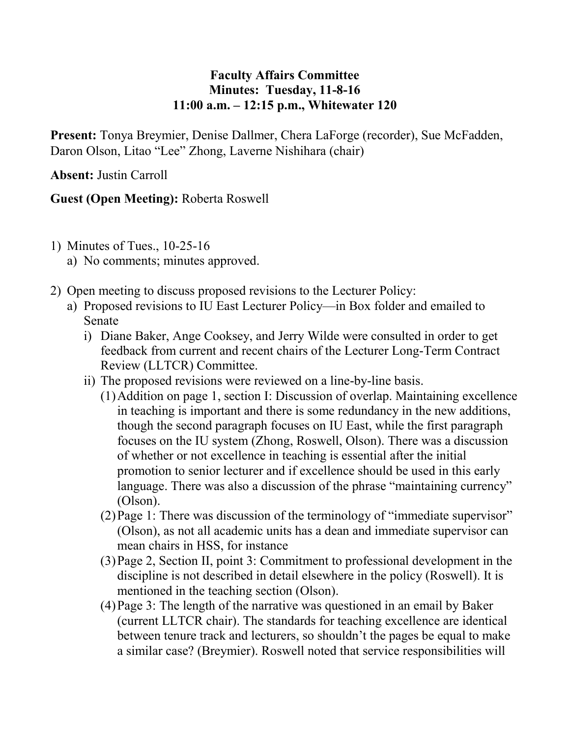## **Faculty Affairs Committee Minutes: Tuesday, 11-8-16 11:00 a.m. – 12:15 p.m., Whitewater 120**

**Present:** Tonya Breymier, Denise Dallmer, Chera LaForge (recorder), Sue McFadden, Daron Olson, Litao "Lee" Zhong, Laverne Nishihara (chair)

**Absent:** Justin Carroll

## **Guest (Open Meeting):** Roberta Roswell

- 1) Minutes of Tues., 10-25-16
	- a) No comments; minutes approved.
- 2) Open meeting to discuss proposed revisions to the Lecturer Policy:
	- a) Proposed revisions to IU East Lecturer Policy—in Box folder and emailed to Senate
		- i) Diane Baker, Ange Cooksey, and Jerry Wilde were consulted in order to get feedback from current and recent chairs of the Lecturer Long-Term Contract Review (LLTCR) Committee.
		- ii) The proposed revisions were reviewed on a line-by-line basis.
			- (1)Addition on page 1, section I: Discussion of overlap. Maintaining excellence in teaching is important and there is some redundancy in the new additions, though the second paragraph focuses on IU East, while the first paragraph focuses on the IU system (Zhong, Roswell, Olson). There was a discussion of whether or not excellence in teaching is essential after the initial promotion to senior lecturer and if excellence should be used in this early language. There was also a discussion of the phrase "maintaining currency" (Olson).
			- (2)Page 1: There was discussion of the terminology of "immediate supervisor" (Olson), as not all academic units has a dean and immediate supervisor can mean chairs in HSS, for instance
			- (3)Page 2, Section II, point 3: Commitment to professional development in the discipline is not described in detail elsewhere in the policy (Roswell). It is mentioned in the teaching section (Olson).
			- (4)Page 3: The length of the narrative was questioned in an email by Baker (current LLTCR chair). The standards for teaching excellence are identical between tenure track and lecturers, so shouldn't the pages be equal to make a similar case? (Breymier). Roswell noted that service responsibilities will